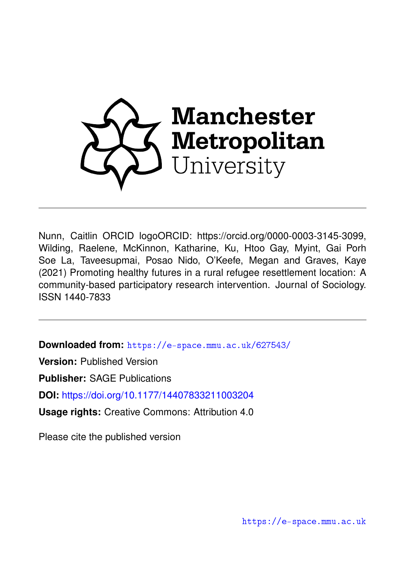

Nunn, Caitlin ORCID logoORCID: https://orcid.org/0000-0003-3145-3099, Wilding, Raelene, McKinnon, Katharine, Ku, Htoo Gay, Myint, Gai Porh Soe La, Taveesupmai, Posao Nido, O'Keefe, Megan and Graves, Kaye (2021) Promoting healthy futures in a rural refugee resettlement location: A community-based participatory research intervention. Journal of Sociology. ISSN 1440-7833

**Downloaded from:** <https://e-space.mmu.ac.uk/627543/>

**Version:** Published Version

**Publisher:** SAGE Publications

**DOI:** <https://doi.org/10.1177/14407833211003204>

**Usage rights:** Creative Commons: Attribution 4.0

Please cite the published version

<https://e-space.mmu.ac.uk>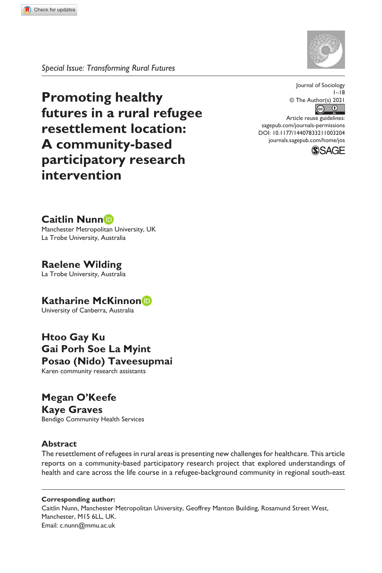

*Special Issue: Transforming Rural Futures*

**Promoting healthy futures in a rural refugee resettlement location: A community-based participatory research intervention**



https://doi.org/10.1177/14407833211003204 DOI: 10.1177/14407833211003204 Article reuse guidelines: [sagepub.com/journals-permissions](https://uk.sagepub.com/en-gb/journals-permissions) [journals.sagepub.com/home/jos](https://journals.sagepub.com/home/jos)



**Caitlin Nunn**

Manchester Metropolitan University, UK La Trobe University, Australia

**Raelene Wilding** La Trobe University, Australia

**Katharine McKinnon** University of Canberra, Australia

**Htoo Gay Ku Gai Porh Soe La Myint Posao (Nido) Taveesupmai** Karen community research assistants

**Megan O'Keefe Kaye Graves** Bendigo Community Health Services

## **Abstract**

The resettlement of refugees in rural areas is presenting new challenges for healthcare. This article reports on a community-based participatory research project that explored understandings of health and care across the life course in a refugee-background community in regional south-east

**Corresponding author:** Caitlin Nunn, Manchester Metropolitan University, Geoffrey Manton Building, Rosamund Street West, Manchester, M15 6LL, UK. Email: [c.nunn@mmu.ac.uk](mailto:c.nunn@mmu.ac.uk)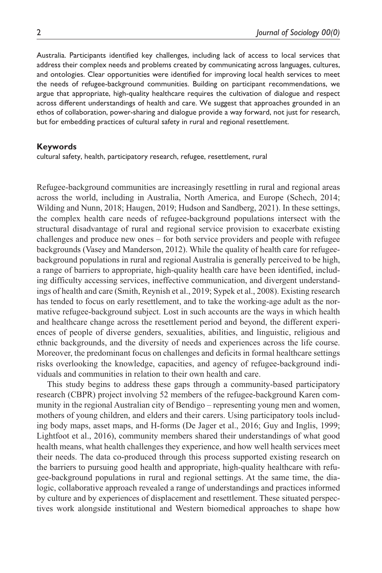Australia. Participants identified key challenges, including lack of access to local services that address their complex needs and problems created by communicating across languages, cultures, and ontologies. Clear opportunities were identified for improving local health services to meet the needs of refugee-background communities. Building on participant recommendations, we argue that appropriate, high-quality healthcare requires the cultivation of dialogue and respect across different understandings of health and care. We suggest that approaches grounded in an ethos of collaboration, power-sharing and dialogue provide a way forward, not just for research, but for embedding practices of cultural safety in rural and regional resettlement.

#### **Keywords**

cultural safety, health, participatory research, refugee, resettlement, rural

Refugee-background communities are increasingly resettling in rural and regional areas across the world, including in Australia, North America, and Europe (Schech, 2014; Wilding and Nunn, 2018; Haugen, 2019; Hudson and Sandberg, 2021). In these settings, the complex health care needs of refugee-background populations intersect with the structural disadvantage of rural and regional service provision to exacerbate existing challenges and produce new ones – for both service providers and people with refugee backgrounds (Vasey and Manderson, 2012). While the quality of health care for refugeebackground populations in rural and regional Australia is generally perceived to be high, a range of barriers to appropriate, high-quality health care have been identified, including difficulty accessing services, ineffective communication, and divergent understandings of health and care (Smith, Reynish et al., 2019; Sypek et al., 2008). Existing research has tended to focus on early resettlement, and to take the working-age adult as the normative refugee-background subject. Lost in such accounts are the ways in which health and healthcare change across the resettlement period and beyond, the different experiences of people of diverse genders, sexualities, abilities, and linguistic, religious and ethnic backgrounds, and the diversity of needs and experiences across the life course. Moreover, the predominant focus on challenges and deficits in formal healthcare settings risks overlooking the knowledge, capacities, and agency of refugee-background individuals and communities in relation to their own health and care.

This study begins to address these gaps through a community-based participatory research (CBPR) project involving 52 members of the refugee-background Karen community in the regional Australian city of Bendigo – representing young men and women, mothers of young children, and elders and their carers. Using participatory tools including body maps, asset maps, and H-forms (De Jager et al., 2016; Guy and Inglis, 1999; Lightfoot et al., 2016), community members shared their understandings of what good health means, what health challenges they experience, and how well health services meet their needs. The data co-produced through this process supported existing research on the barriers to pursuing good health and appropriate, high-quality healthcare with refugee-background populations in rural and regional settings. At the same time, the dialogic, collaborative approach revealed a range of understandings and practices informed by culture and by experiences of displacement and resettlement. These situated perspectives work alongside institutional and Western biomedical approaches to shape how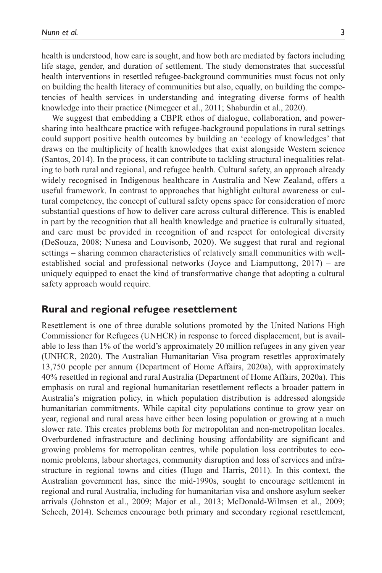health is understood, how care is sought, and how both are mediated by factors including life stage, gender, and duration of settlement. The study demonstrates that successful health interventions in resettled refugee-background communities must focus not only on building the health literacy of communities but also, equally, on building the competencies of health services in understanding and integrating diverse forms of health knowledge into their practice (Nimegeer et al., 2011; Shaburdin et al., 2020).

We suggest that embedding a CBPR ethos of dialogue, collaboration, and powersharing into healthcare practice with refugee-background populations in rural settings could support positive health outcomes by building an 'ecology of knowledges' that draws on the multiplicity of health knowledges that exist alongside Western science (Santos, 2014). In the process, it can contribute to tackling structural inequalities relating to both rural and regional, and refugee health. Cultural safety, an approach already widely recognised in Indigenous healthcare in Australia and New Zealand, offers a useful framework. In contrast to approaches that highlight cultural awareness or cultural competency, the concept of cultural safety opens space for consideration of more substantial questions of how to deliver care across cultural difference. This is enabled in part by the recognition that all health knowledge and practice is culturally situated, and care must be provided in recognition of and respect for ontological diversity (DeSouza, 2008; Nunesa and Louvisonb, 2020). We suggest that rural and regional settings – sharing common characteristics of relatively small communities with wellestablished social and professional networks (Joyce and Liamputtong, 2017) – are uniquely equipped to enact the kind of transformative change that adopting a cultural safety approach would require.

## **Rural and regional refugee resettlement**

Resettlement is one of three durable solutions promoted by the United Nations High Commissioner for Refugees (UNHCR) in response to forced displacement, but is available to less than 1% of the world's approximately 20 million refugees in any given year (UNHCR, 2020). The Australian Humanitarian Visa program resettles approximately 13,750 people per annum (Department of Home Affairs, 2020a), with approximately 40% resettled in regional and rural Australia (Department of Home Affairs, 2020a). This emphasis on rural and regional humanitarian resettlement reflects a broader pattern in Australia's migration policy, in which population distribution is addressed alongside humanitarian commitments. While capital city populations continue to grow year on year, regional and rural areas have either been losing population or growing at a much slower rate. This creates problems both for metropolitan and non-metropolitan locales. Overburdened infrastructure and declining housing affordability are significant and growing problems for metropolitan centres, while population loss contributes to economic problems, labour shortages, community disruption and loss of services and infrastructure in regional towns and cities (Hugo and Harris, 2011). In this context, the Australian government has, since the mid-1990s, sought to encourage settlement in regional and rural Australia, including for humanitarian visa and onshore asylum seeker arrivals (Johnston et al., 2009; Major et al., 2013; McDonald-Wilmsen et al., 2009; Schech, 2014). Schemes encourage both primary and secondary regional resettlement,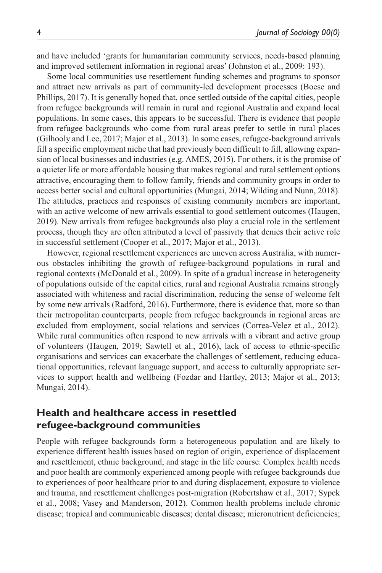and have included 'grants for humanitarian community services, needs-based planning and improved settlement information in regional areas' (Johnston et al., 2009: 193).

Some local communities use resettlement funding schemes and programs to sponsor and attract new arrivals as part of community-led development processes (Boese and Phillips, 2017). It is generally hoped that, once settled outside of the capital cities, people from refugee backgrounds will remain in rural and regional Australia and expand local populations. In some cases, this appears to be successful. There is evidence that people from refugee backgrounds who come from rural areas prefer to settle in rural places (Gilhooly and Lee, 2017; Major et al., 2013). In some cases, refugee-background arrivals fill a specific employment niche that had previously been difficult to fill, allowing expansion of local businesses and industries (e.g. AMES, 2015). For others, it is the promise of a quieter life or more affordable housing that makes regional and rural settlement options attractive, encouraging them to follow family, friends and community groups in order to access better social and cultural opportunities (Mungai, 2014; Wilding and Nunn, 2018). The attitudes, practices and responses of existing community members are important, with an active welcome of new arrivals essential to good settlement outcomes (Haugen, 2019). New arrivals from refugee backgrounds also play a crucial role in the settlement process, though they are often attributed a level of passivity that denies their active role in successful settlement (Cooper et al., 2017; Major et al., 2013).

However, regional resettlement experiences are uneven across Australia, with numerous obstacles inhibiting the growth of refugee-background populations in rural and regional contexts (McDonald et al., 2009). In spite of a gradual increase in heterogeneity of populations outside of the capital cities, rural and regional Australia remains strongly associated with whiteness and racial discrimination, reducing the sense of welcome felt by some new arrivals (Radford, 2016). Furthermore, there is evidence that, more so than their metropolitan counterparts, people from refugee backgrounds in regional areas are excluded from employment, social relations and services (Correa-Velez et al., 2012). While rural communities often respond to new arrivals with a vibrant and active group of volunteers (Haugen, 2019; Sawtell et al., 2016), lack of access to ethnic-specific organisations and services can exacerbate the challenges of settlement, reducing educational opportunities, relevant language support, and access to culturally appropriate services to support health and wellbeing (Fozdar and Hartley, 2013; Major et al., 2013; Mungai, 2014).

# **Health and healthcare access in resettled refugee-background communities**

People with refugee backgrounds form a heterogeneous population and are likely to experience different health issues based on region of origin, experience of displacement and resettlement, ethnic background, and stage in the life course. Complex health needs and poor health are commonly experienced among people with refugee backgrounds due to experiences of poor healthcare prior to and during displacement, exposure to violence and trauma, and resettlement challenges post-migration (Robertshaw et al., 2017; Sypek et al., 2008; Vasey and Manderson, 2012). Common health problems include chronic disease; tropical and communicable diseases; dental disease; micronutrient deficiencies;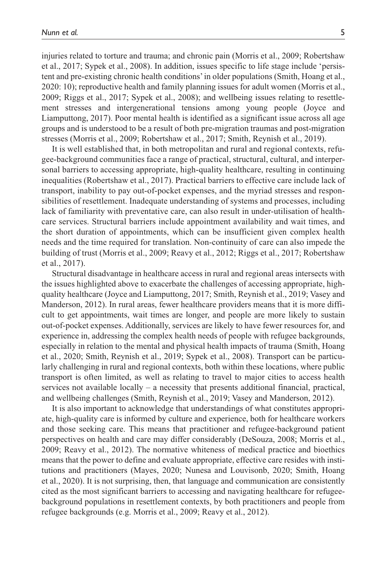injuries related to torture and trauma; and chronic pain (Morris et al., 2009; Robertshaw et al., 2017; Sypek et al., 2008). In addition, issues specific to life stage include 'persistent and pre-existing chronic health conditions' in older populations (Smith, Hoang et al., 2020: 10); reproductive health and family planning issues for adult women (Morris et al., 2009; Riggs et al., 2017; Sypek et al., 2008); and wellbeing issues relating to resettlement stresses and intergenerational tensions among young people (Joyce and Liamputtong, 2017). Poor mental health is identified as a significant issue across all age groups and is understood to be a result of both pre-migration traumas and post-migration stresses (Morris et al., 2009; Robertshaw et al., 2017; Smith, Reynish et al., 2019).

It is well established that, in both metropolitan and rural and regional contexts, refugee-background communities face a range of practical, structural, cultural, and interpersonal barriers to accessing appropriate, high-quality healthcare, resulting in continuing inequalities (Robertshaw et al., 2017). Practical barriers to effective care include lack of transport, inability to pay out-of-pocket expenses, and the myriad stresses and responsibilities of resettlement. Inadequate understanding of systems and processes, including lack of familiarity with preventative care, can also result in under-utilisation of healthcare services. Structural barriers include appointment availability and wait times, and the short duration of appointments, which can be insufficient given complex health needs and the time required for translation. Non-continuity of care can also impede the building of trust (Morris et al., 2009; Reavy et al., 2012; Riggs et al., 2017; Robertshaw et al., 2017).

Structural disadvantage in healthcare access in rural and regional areas intersects with the issues highlighted above to exacerbate the challenges of accessing appropriate, highquality healthcare (Joyce and Liamputtong, 2017; Smith, Reynish et al., 2019; Vasey and Manderson, 2012). In rural areas, fewer healthcare providers means that it is more difficult to get appointments, wait times are longer, and people are more likely to sustain out-of-pocket expenses. Additionally, services are likely to have fewer resources for, and experience in, addressing the complex health needs of people with refugee backgrounds, especially in relation to the mental and physical health impacts of trauma (Smith, Hoang et al., 2020; Smith, Reynish et al., 2019; Sypek et al., 2008). Transport can be particularly challenging in rural and regional contexts, both within these locations, where public transport is often limited, as well as relating to travel to major cities to access health services not available locally – a necessity that presents additional financial, practical, and wellbeing challenges (Smith, Reynish et al., 2019; Vasey and Manderson, 2012).

It is also important to acknowledge that understandings of what constitutes appropriate, high-quality care is informed by culture and experience, both for healthcare workers and those seeking care. This means that practitioner and refugee-background patient perspectives on health and care may differ considerably (DeSouza, 2008; Morris et al., 2009; Reavy et al., 2012). The normative whiteness of medical practice and bioethics means that the power to define and evaluate appropriate, effective care resides with institutions and practitioners (Mayes, 2020; Nunesa and Louvisonb, 2020; Smith, Hoang et al., 2020). It is not surprising, then, that language and communication are consistently cited as the most significant barriers to accessing and navigating healthcare for refugeebackground populations in resettlement contexts, by both practitioners and people from refugee backgrounds (e.g. Morris et al., 2009; Reavy et al., 2012).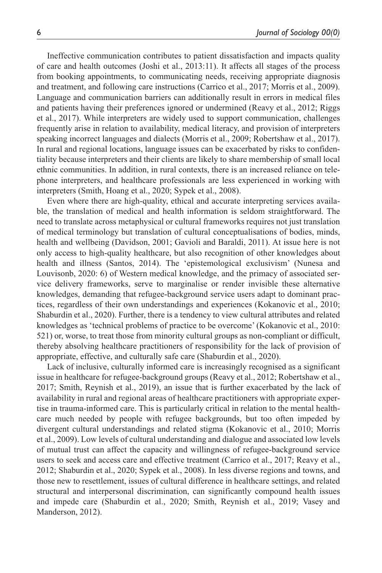Ineffective communication contributes to patient dissatisfaction and impacts quality of care and health outcomes (Joshi et al., 2013:11). It affects all stages of the process from booking appointments, to communicating needs, receiving appropriate diagnosis and treatment, and following care instructions (Carrico et al., 2017; Morris et al., 2009). Language and communication barriers can additionally result in errors in medical files and patients having their preferences ignored or undermined (Reavy et al., 2012; Riggs et al., 2017). While interpreters are widely used to support communication, challenges frequently arise in relation to availability, medical literacy, and provision of interpreters speaking incorrect languages and dialects (Morris et al., 2009; Robertshaw et al., 2017). In rural and regional locations, language issues can be exacerbated by risks to confidentiality because interpreters and their clients are likely to share membership of small local ethnic communities. In addition, in rural contexts, there is an increased reliance on telephone interpreters, and healthcare professionals are less experienced in working with interpreters (Smith, Hoang et al., 2020; Sypek et al., 2008).

Even where there are high-quality, ethical and accurate interpreting services available, the translation of medical and health information is seldom straightforward. The need to translate across metaphysical or cultural frameworks requires not just translation of medical terminology but translation of cultural conceptualisations of bodies, minds, health and wellbeing (Davidson, 2001; Gavioli and Baraldi, 2011). At issue here is not only access to high-quality healthcare, but also recognition of other knowledges about health and illness (Santos, 2014). The 'epistemological exclusivism' (Nunesa and Louvisonb, 2020: 6) of Western medical knowledge, and the primacy of associated service delivery frameworks, serve to marginalise or render invisible these alternative knowledges, demanding that refugee-background service users adapt to dominant practices, regardless of their own understandings and experiences (Kokanovic et al., 2010; Shaburdin et al., 2020). Further, there is a tendency to view cultural attributes and related knowledges as 'technical problems of practice to be overcome' (Kokanovic et al., 2010: 521) or, worse, to treat those from minority cultural groups as non-compliant or difficult, thereby absolving healthcare practitioners of responsibility for the lack of provision of appropriate, effective, and culturally safe care (Shaburdin et al., 2020).

Lack of inclusive, culturally informed care is increasingly recognised as a significant issue in healthcare for refugee-background groups (Reavy et al., 2012; Robertshaw et al., 2017; Smith, Reynish et al., 2019), an issue that is further exacerbated by the lack of availability in rural and regional areas of healthcare practitioners with appropriate expertise in trauma-informed care. This is particularly critical in relation to the mental healthcare much needed by people with refugee backgrounds, but too often impeded by divergent cultural understandings and related stigma (Kokanovic et al., 2010; Morris et al., 2009). Low levels of cultural understanding and dialogue and associated low levels of mutual trust can affect the capacity and willingness of refugee-background service users to seek and access care and effective treatment (Carrico et al., 2017; Reavy et al., 2012; Shaburdin et al., 2020; Sypek et al., 2008). In less diverse regions and towns, and those new to resettlement, issues of cultural difference in healthcare settings, and related structural and interpersonal discrimination, can significantly compound health issues and impede care (Shaburdin et al., 2020; Smith, Reynish et al., 2019; Vasey and Manderson, 2012).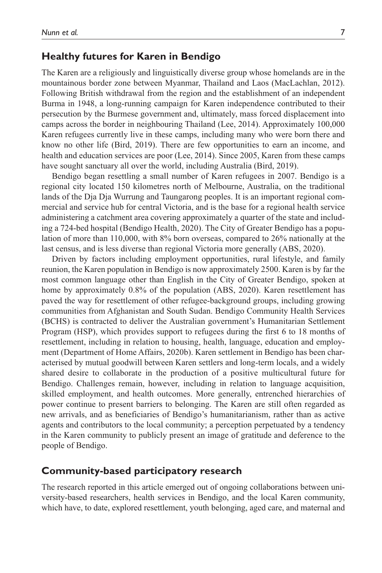# **Healthy futures for Karen in Bendigo**

The Karen are a religiously and linguistically diverse group whose homelands are in the mountainous border zone between Myanmar, Thailand and Laos (MacLachlan, 2012). Following British withdrawal from the region and the establishment of an independent Burma in 1948, a long-running campaign for Karen independence contributed to their persecution by the Burmese government and, ultimately, mass forced displacement into camps across the border in neighbouring Thailand (Lee, 2014). Approximately 100,000 Karen refugees currently live in these camps, including many who were born there and know no other life (Bird, 2019). There are few opportunities to earn an income, and health and education services are poor (Lee, 2014). Since 2005, Karen from these camps have sought sanctuary all over the world, including Australia (Bird, 2019).

Bendigo began resettling a small number of Karen refugees in 2007. Bendigo is a regional city located 150 kilometres north of Melbourne, Australia, on the traditional lands of the Dja Dja Wurrung and Taungarong peoples. It is an important regional commercial and service hub for central Victoria, and is the base for a regional health service administering a catchment area covering approximately a quarter of the state and including a 724-bed hospital (Bendigo Health, 2020). The City of Greater Bendigo has a population of more than 110,000, with 8% born overseas, compared to 26% nationally at the last census, and is less diverse than regional Victoria more generally (ABS, 2020).

Driven by factors including employment opportunities, rural lifestyle, and family reunion, the Karen population in Bendigo is now approximately 2500. Karen is by far the most common language other than English in the City of Greater Bendigo, spoken at home by approximately 0.8% of the population (ABS, 2020). Karen resettlement has paved the way for resettlement of other refugee-background groups, including growing communities from Afghanistan and South Sudan. Bendigo Community Health Services (BCHS) is contracted to deliver the Australian government's Humanitarian Settlement Program (HSP), which provides support to refugees during the first 6 to 18 months of resettlement, including in relation to housing, health, language, education and employment (Department of Home Affairs, 2020b). Karen settlement in Bendigo has been characterised by mutual goodwill between Karen settlers and long-term locals, and a widely shared desire to collaborate in the production of a positive multicultural future for Bendigo. Challenges remain, however, including in relation to language acquisition, skilled employment, and health outcomes. More generally, entrenched hierarchies of power continue to present barriers to belonging. The Karen are still often regarded as new arrivals, and as beneficiaries of Bendigo's humanitarianism, rather than as active agents and contributors to the local community; a perception perpetuated by a tendency in the Karen community to publicly present an image of gratitude and deference to the people of Bendigo.

## **Community-based participatory research**

The research reported in this article emerged out of ongoing collaborations between university-based researchers, health services in Bendigo, and the local Karen community, which have, to date, explored resettlement, youth belonging, aged care, and maternal and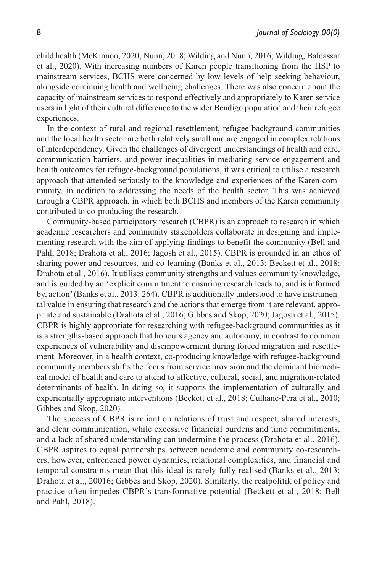child health (McKinnon, 2020; Nunn, 2018; Wilding and Nunn, 2016; Wilding, Baldassar et al., 2020). With increasing numbers of Karen people transitioning from the HSP to mainstream services, BCHS were concerned by low levels of help seeking behaviour, alongside continuing health and wellbeing challenges. There was also concern about the capacity of mainstream services to respond effectively and appropriately to Karen service users in light of their cultural difference to the wider Bendigo population and their refugee experiences.

In the context of rural and regional resettlement, refugee-background communities and the local health sector are both relatively small and are engaged in complex relations of interdependency. Given the challenges of divergent understandings of health and care, communication barriers, and power inequalities in mediating service engagement and health outcomes for refugee-background populations, it was critical to utilise a research approach that attended seriously to the knowledge and experiences of the Karen community, in addition to addressing the needs of the health sector. This was achieved through a CBPR approach, in which both BCHS and members of the Karen community contributed to co-producing the research.

Community-based participatory research (CBPR) is an approach to research in which academic researchers and community stakeholders collaborate in designing and implementing research with the aim of applying findings to benefit the community (Bell and Pahl, 2018; Drahota et al., 2016; Jagosh et al., 2015). CBPR is grounded in an ethos of sharing power and resources, and co-learning (Banks et al., 2013; Beckett et al., 2018; Drahota et al., 2016). It utilises community strengths and values community knowledge, and is guided by an 'explicit commitment to ensuring research leads to, and is informed by, action' (Banks et al., 2013: 264). CBPR is additionally understood to have instrumental value in ensuring that research and the actions that emerge from it are relevant, appropriate and sustainable (Drahota et al., 2016; Gibbes and Skop, 2020; Jagosh et al., 2015). CBPR is highly appropriate for researching with refugee-background communities as it is a strengths-based approach that honours agency and autonomy, in contrast to common experiences of vulnerability and disempowerment during forced migration and resettlement. Moreover, in a health context, co-producing knowledge with refugee-background community members shifts the focus from service provision and the dominant biomedical model of health and care to attend to affective, cultural, social, and migration-related determinants of health. In doing so, it supports the implementation of culturally and experientially appropriate interventions (Beckett et al., 2018; Culhane-Pera et al., 2010; Gibbes and Skop, 2020).

The success of CBPR is reliant on relations of trust and respect, shared interests, and clear communication, while excessive financial burdens and time commitments, and a lack of shared understanding can undermine the process (Drahota et al., 2016). CBPR aspires to equal partnerships between academic and community co-researchers, however, entrenched power dynamics, relational complexities, and financial and temporal constraints mean that this ideal is rarely fully realised (Banks et al., 2013; Drahota et al., 20016; Gibbes and Skop, 2020). Similarly, the realpolitik of policy and practice often impedes CBPR's transformative potential (Beckett et al., 2018; Bell and Pahl, 2018).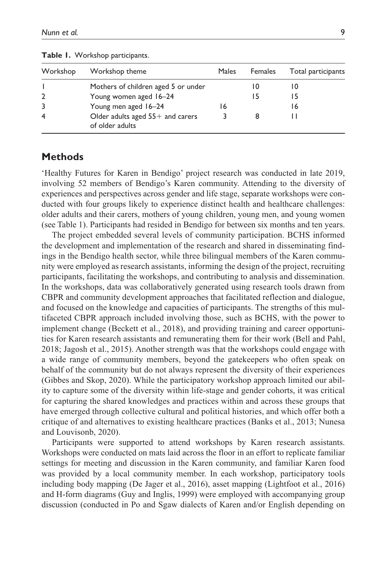| Workshop       | Workshop theme                                        | Males | Females | Total participants |
|----------------|-------------------------------------------------------|-------|---------|--------------------|
|                | Mothers of children aged 5 or under                   |       |         |                    |
| $\overline{2}$ | Young women aged 16-24                                |       |         |                    |
| 3              | Young men aged 16-24                                  | 16    |         | 16                 |
| $\overline{4}$ | Older adults aged $55+$ and carers<br>of older adults |       |         |                    |

**Table 1.** Workshop participants.

# **Methods**

'Healthy Futures for Karen in Bendigo' project research was conducted in late 2019, involving 52 members of Bendigo's Karen community. Attending to the diversity of experiences and perspectives across gender and life stage, separate workshops were conducted with four groups likely to experience distinct health and healthcare challenges: older adults and their carers, mothers of young children, young men, and young women (see Table 1). Participants had resided in Bendigo for between six months and ten years.

The project embedded several levels of community participation. BCHS informed the development and implementation of the research and shared in disseminating findings in the Bendigo health sector, while three bilingual members of the Karen community were employed as research assistants, informing the design of the project, recruiting participants, facilitating the workshops, and contributing to analysis and dissemination. In the workshops, data was collaboratively generated using research tools drawn from CBPR and community development approaches that facilitated reflection and dialogue, and focused on the knowledge and capacities of participants. The strengths of this multifaceted CBPR approach included involving those, such as BCHS, with the power to implement change (Beckett et al., 2018), and providing training and career opportunities for Karen research assistants and remunerating them for their work (Bell and Pahl, 2018; Jagosh et al., 2015). Another strength was that the workshops could engage with a wide range of community members, beyond the gatekeepers who often speak on behalf of the community but do not always represent the diversity of their experiences (Gibbes and Skop, 2020). While the participatory workshop approach limited our ability to capture some of the diversity within life-stage and gender cohorts, it was critical for capturing the shared knowledges and practices within and across these groups that have emerged through collective cultural and political histories, and which offer both a critique of and alternatives to existing healthcare practices (Banks et al., 2013; Nunesa and Louvisonb, 2020).

Participants were supported to attend workshops by Karen research assistants. Workshops were conducted on mats laid across the floor in an effort to replicate familiar settings for meeting and discussion in the Karen community, and familiar Karen food was provided by a local community member. In each workshop, participatory tools including body mapping (De Jager et al., 2016), asset mapping (Lightfoot et al., 2016) and H-form diagrams (Guy and Inglis, 1999) were employed with accompanying group discussion (conducted in Po and Sgaw dialects of Karen and/or English depending on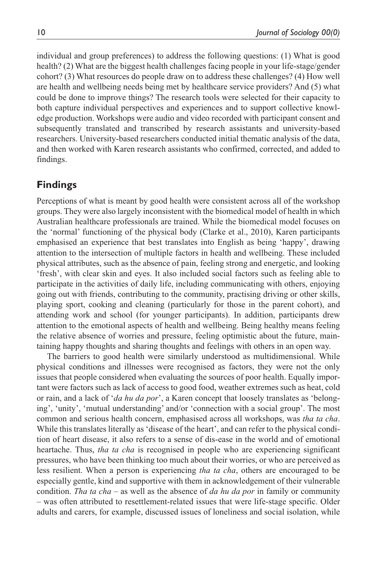individual and group preferences) to address the following questions: (1) What is good health? (2) What are the biggest health challenges facing people in your life-stage/gender cohort? (3) What resources do people draw on to address these challenges? (4) How well are health and wellbeing needs being met by healthcare service providers? And (5) what could be done to improve things? The research tools were selected for their capacity to both capture individual perspectives and experiences and to support collective knowledge production. Workshops were audio and video recorded with participant consent and subsequently translated and transcribed by research assistants and university-based researchers. University-based researchers conducted initial thematic analysis of the data, and then worked with Karen research assistants who confirmed, corrected, and added to findings.

# **Findings**

Perceptions of what is meant by good health were consistent across all of the workshop groups. They were also largely inconsistent with the biomedical model of health in which Australian healthcare professionals are trained. While the biomedical model focuses on the 'normal' functioning of the physical body (Clarke et al., 2010), Karen participants emphasised an experience that best translates into English as being 'happy', drawing attention to the intersection of multiple factors in health and wellbeing. These included physical attributes, such as the absence of pain, feeling strong and energetic, and looking 'fresh', with clear skin and eyes. It also included social factors such as feeling able to participate in the activities of daily life, including communicating with others, enjoying going out with friends, contributing to the community, practising driving or other skills, playing sport, cooking and cleaning (particularly for those in the parent cohort), and attending work and school (for younger participants). In addition, participants drew attention to the emotional aspects of health and wellbeing. Being healthy means feeling the relative absence of worries and pressure, feeling optimistic about the future, maintaining happy thoughts and sharing thoughts and feelings with others in an open way.

The barriers to good health were similarly understood as multidimensional. While physical conditions and illnesses were recognised as factors, they were not the only issues that people considered when evaluating the sources of poor health. Equally important were factors such as lack of access to good food, weather extremes such as heat, cold or rain, and a lack of '*da hu da por*', a Karen concept that loosely translates as 'belonging', 'unity', 'mutual understanding' and/or 'connection with a social group'. The most common and serious health concern, emphasised across all workshops, was *tha ta cha*. While this translates literally as 'disease of the heart', and can refer to the physical condition of heart disease, it also refers to a sense of dis-ease in the world and of emotional heartache. Thus, *tha ta cha* is recognised in people who are experiencing significant pressures, who have been thinking too much about their worries, or who are perceived as less resilient. When a person is experiencing *tha ta cha*, others are encouraged to be especially gentle, kind and supportive with them in acknowledgement of their vulnerable condition. *Tha ta cha* – as well as the absence of *da hu da por* in family or community – was often attributed to resettlement-related issues that were life-stage specific. Older adults and carers, for example, discussed issues of loneliness and social isolation, while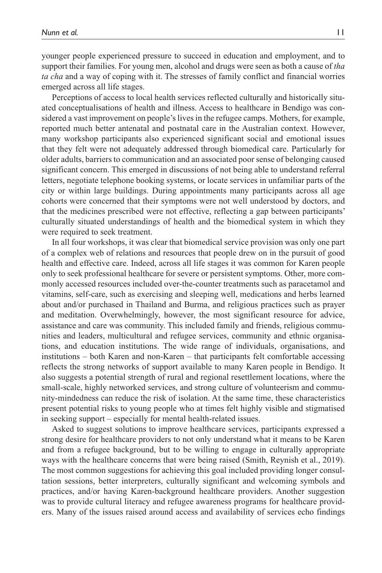younger people experienced pressure to succeed in education and employment, and to support their families. For young men, alcohol and drugs were seen as both a cause of *tha ta cha* and a way of coping with it. The stresses of family conflict and financial worries emerged across all life stages.

Perceptions of access to local health services reflected culturally and historically situated conceptualisations of health and illness. Access to healthcare in Bendigo was considered a vast improvement on people's lives in the refugee camps. Mothers, for example, reported much better antenatal and postnatal care in the Australian context. However, many workshop participants also experienced significant social and emotional issues that they felt were not adequately addressed through biomedical care. Particularly for older adults, barriers to communication and an associated poor sense of belonging caused significant concern. This emerged in discussions of not being able to understand referral letters, negotiate telephone booking systems, or locate services in unfamiliar parts of the city or within large buildings. During appointments many participants across all age cohorts were concerned that their symptoms were not well understood by doctors, and that the medicines prescribed were not effective, reflecting a gap between participants' culturally situated understandings of health and the biomedical system in which they were required to seek treatment.

In all four workshops, it was clear that biomedical service provision was only one part of a complex web of relations and resources that people drew on in the pursuit of good health and effective care. Indeed, across all life stages it was common for Karen people only to seek professional healthcare for severe or persistent symptoms. Other, more commonly accessed resources included over-the-counter treatments such as paracetamol and vitamins, self-care, such as exercising and sleeping well, medications and herbs learned about and/or purchased in Thailand and Burma, and religious practices such as prayer and meditation. Overwhelmingly, however, the most significant resource for advice, assistance and care was community. This included family and friends, religious communities and leaders, multicultural and refugee services, community and ethnic organisations, and education institutions. The wide range of individuals, organisations, and institutions – both Karen and non-Karen – that participants felt comfortable accessing reflects the strong networks of support available to many Karen people in Bendigo. It also suggests a potential strength of rural and regional resettlement locations, where the small-scale, highly networked services, and strong culture of volunteerism and community-mindedness can reduce the risk of isolation. At the same time, these characteristics present potential risks to young people who at times felt highly visible and stigmatised in seeking support – especially for mental health-related issues.

Asked to suggest solutions to improve healthcare services, participants expressed a strong desire for healthcare providers to not only understand what it means to be Karen and from a refugee background, but to be willing to engage in culturally appropriate ways with the healthcare concerns that were being raised (Smith, Reynish et al., 2019). The most common suggestions for achieving this goal included providing longer consultation sessions, better interpreters, culturally significant and welcoming symbols and practices, and/or having Karen-background healthcare providers. Another suggestion was to provide cultural literacy and refugee awareness programs for healthcare providers. Many of the issues raised around access and availability of services echo findings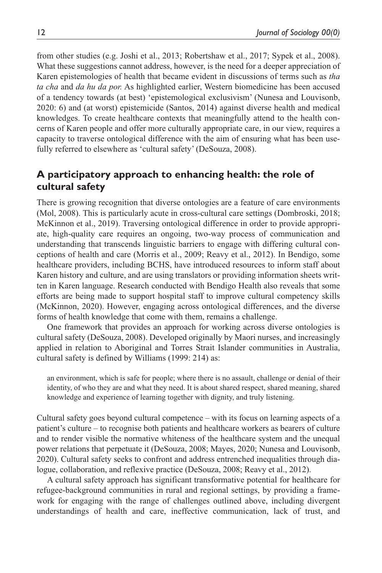from other studies (e.g. Joshi et al., 2013; Robertshaw et al., 2017; Sypek et al., 2008). What these suggestions cannot address, however, is the need for a deeper appreciation of Karen epistemologies of health that became evident in discussions of terms such as *tha ta cha* and *da hu da por.* As highlighted earlier, Western biomedicine has been accused of a tendency towards (at best) 'epistemological exclusivism' (Nunesa and Louvisonb, 2020: 6) and (at worst) epistemicide (Santos, 2014) against diverse health and medical knowledges. To create healthcare contexts that meaningfully attend to the health concerns of Karen people and offer more culturally appropriate care, in our view, requires a capacity to traverse ontological difference with the aim of ensuring what has been usefully referred to elsewhere as 'cultural safety' (DeSouza, 2008).

# **A participatory approach to enhancing health: the role of cultural safety**

There is growing recognition that diverse ontologies are a feature of care environments (Mol, 2008). This is particularly acute in cross-cultural care settings (Dombroski, 2018; McKinnon et al., 2019). Traversing ontological difference in order to provide appropriate, high-quality care requires an ongoing, two-way process of communication and understanding that transcends linguistic barriers to engage with differing cultural conceptions of health and care (Morris et al., 2009; Reavy et al., 2012). In Bendigo, some healthcare providers, including BCHS, have introduced resources to inform staff about Karen history and culture, and are using translators or providing information sheets written in Karen language. Research conducted with Bendigo Health also reveals that some efforts are being made to support hospital staff to improve cultural competency skills (McKinnon, 2020). However, engaging across ontological differences, and the diverse forms of health knowledge that come with them, remains a challenge.

One framework that provides an approach for working across diverse ontologies is cultural safety (DeSouza, 2008). Developed originally by Maori nurses, and increasingly applied in relation to Aboriginal and Torres Strait Islander communities in Australia, cultural safety is defined by Williams (1999: 214) as:

an environment, which is safe for people; where there is no assault, challenge or denial of their identity, of who they are and what they need. It is about shared respect, shared meaning, shared knowledge and experience of learning together with dignity, and truly listening.

Cultural safety goes beyond cultural competence – with its focus on learning aspects of a patient's culture – to recognise both patients and healthcare workers as bearers of culture and to render visible the normative whiteness of the healthcare system and the unequal power relations that perpetuate it (DeSouza, 2008; Mayes, 2020; Nunesa and Louvisonb, 2020). Cultural safety seeks to confront and address entrenched inequalities through dialogue, collaboration, and reflexive practice (DeSouza, 2008; Reavy et al., 2012).

A cultural safety approach has significant transformative potential for healthcare for refugee-background communities in rural and regional settings, by providing a framework for engaging with the range of challenges outlined above, including divergent understandings of health and care, ineffective communication, lack of trust, and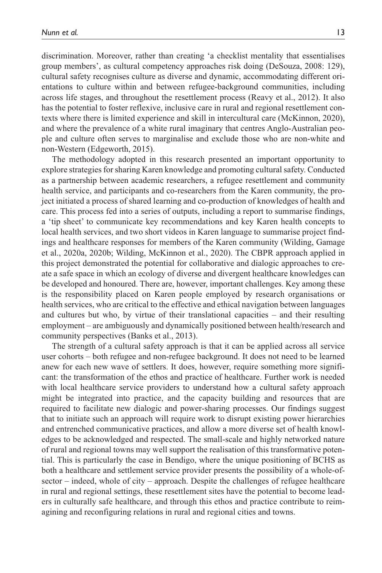discrimination. Moreover, rather than creating 'a checklist mentality that essentialises group members', as cultural competency approaches risk doing (DeSouza, 2008: 129), cultural safety recognises culture as diverse and dynamic, accommodating different orientations to culture within and between refugee-background communities, including across life stages, and throughout the resettlement process (Reavy et al., 2012). It also has the potential to foster reflexive, inclusive care in rural and regional resettlement contexts where there is limited experience and skill in intercultural care (McKinnon, 2020), and where the prevalence of a white rural imaginary that centres Anglo-Australian people and culture often serves to marginalise and exclude those who are non-white and non-Western (Edgeworth, 2015).

The methodology adopted in this research presented an important opportunity to explore strategies for sharing Karen knowledge and promoting cultural safety. Conducted as a partnership between academic researchers, a refugee resettlement and community health service, and participants and co-researchers from the Karen community, the project initiated a process of shared learning and co-production of knowledges of health and care. This process fed into a series of outputs, including a report to summarise findings, a 'tip sheet' to communicate key recommendations and key Karen health concepts to local health services, and two short videos in Karen language to summarise project findings and healthcare responses for members of the Karen community (Wilding, Gamage et al., 2020a, 2020b; Wilding, McKinnon et al., 2020). The CBPR approach applied in this project demonstrated the potential for collaborative and dialogic approaches to create a safe space in which an ecology of diverse and divergent healthcare knowledges can be developed and honoured. There are, however, important challenges. Key among these is the responsibility placed on Karen people employed by research organisations or health services, who are critical to the effective and ethical navigation between languages and cultures but who, by virtue of their translational capacities – and their resulting employment – are ambiguously and dynamically positioned between health/research and community perspectives (Banks et al., 2013).

The strength of a cultural safety approach is that it can be applied across all service user cohorts – both refugee and non-refugee background. It does not need to be learned anew for each new wave of settlers. It does, however, require something more significant: the transformation of the ethos and practice of healthcare. Further work is needed with local healthcare service providers to understand how a cultural safety approach might be integrated into practice, and the capacity building and resources that are required to facilitate new dialogic and power-sharing processes. Our findings suggest that to initiate such an approach will require work to disrupt existing power hierarchies and entrenched communicative practices, and allow a more diverse set of health knowledges to be acknowledged and respected. The small-scale and highly networked nature of rural and regional towns may well support the realisation of this transformative potential. This is particularly the case in Bendigo, where the unique positioning of BCHS as both a healthcare and settlement service provider presents the possibility of a whole-ofsector – indeed, whole of city – approach. Despite the challenges of refugee healthcare in rural and regional settings, these resettlement sites have the potential to become leaders in culturally safe healthcare, and through this ethos and practice contribute to reimagining and reconfiguring relations in rural and regional cities and towns.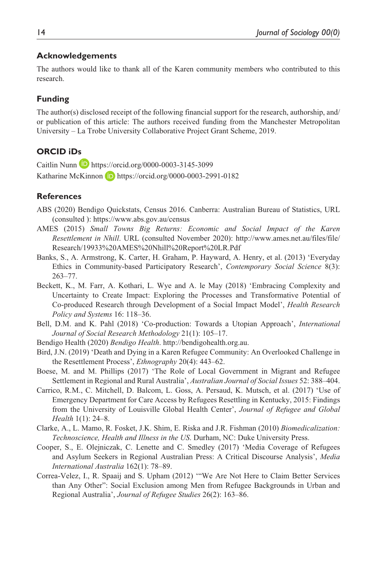#### **Acknowledgements**

The authors would like to thank all of the Karen community members who contributed to this research.

### **Funding**

The author(s) disclosed receipt of the following financial support for the research, authorship, and/ or publication of this article: The authors received funding from the Manchester Metropolitan University – La Trobe University Collaborative Project Grant Scheme, 2019.

### **ORCID iDs**

Caitlin Nunn D <https://orcid.org/0000-0003-3145-3099> Katharine McKinnon D <https://orcid.org/0000-0003-2991-0182>

#### **References**

- ABS (2020) Bendigo Quickstats, Census 2016. Canberra: Australian Bureau of Statistics, URL (consulted ):<https://www.abs.gov.au/census>
- AMES (2015) *Small Towns Big Returns: Economic and Social Impact of the Karen Resettlement in Nhill*. URL (consulted November 2020): [http://www.ames.net.au/files/file/](http://www.ames.net.au/files/file/Research/19933%20AMES%20Nhill%20Report%20LR.Pdf) [Research/19933%20AMES%20Nhill%20Report%20LR.Pdf](http://www.ames.net.au/files/file/Research/19933%20AMES%20Nhill%20Report%20LR.Pdf)
- Banks, S., A. Armstrong, K. Carter, H. Graham, P. Hayward, A. Henry, et al. (2013) 'Everyday Ethics in Community-based Participatory Research', *Contemporary Social Science* 8(3): 263–77.
- Beckett, K., M. Farr, A. Kothari, L. Wye and A. le May (2018) 'Embracing Complexity and Uncertainty to Create Impact: Exploring the Processes and Transformative Potential of Co-produced Research through Development of a Social Impact Model', *Health Research Policy and Systems* 16: 118–36.
- Bell, D.M. and K. Pahl (2018) 'Co-production: Towards a Utopian Approach', *International Journal of Social Research Methodology* 21(1): 105–17.
- Bendigo Health (2020) *Bendigo Health*.<http://bendigohealth.org.au>.
- Bird, J.N. (2019) 'Death and Dying in a Karen Refugee Community: An Overlooked Challenge in the Resettlement Process', *Ethnography* 20(4): 443–62.
- Boese, M. and M. Phillips (2017) 'The Role of Local Government in Migrant and Refugee Settlement in Regional and Rural Australia', *Australian Journal of Social Issues* 52: 388–404.
- Carrico, R.M., C. Mitchell, D. Balcom, L. Goss, A. Persaud, K. Mutsch, et al. (2017) 'Use of Emergency Department for Care Access by Refugees Resettling in Kentucky, 2015: Findings from the University of Louisville Global Health Center', *Journal of Refugee and Global Health* 1(1): 24–8.
- Clarke, A., L. Mamo, R. Fosket, J.K. Shim, E. Riska and J.R. Fishman (2010) *Biomedicalization: Technoscience, Health and Illness in the US*. Durham, NC: Duke University Press.
- Cooper, S., E. Olejniczak, C. Lenette and C. Smedley (2017) 'Media Coverage of Refugees and Asylum Seekers in Regional Australian Press: A Critical Discourse Analysis', *Media International Australia* 162(1): 78–89.
- Correa-Velez, I., R. Spaaij and S. Upham (2012) '"We Are Not Here to Claim Better Services than Any Other": Social Exclusion among Men from Refugee Backgrounds in Urban and Regional Australia', *Journal of Refugee Studies* 26(2): 163–86.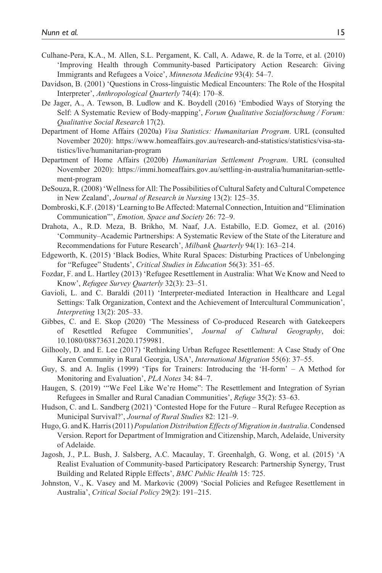- Culhane-Pera, K.A., M. Allen, S.L. Pergament, K. Call, A. Adawe, R. de la Torre, et al. (2010) 'Improving Health through Community-based Participatory Action Research: Giving Immigrants and Refugees a Voice', *Minnesota Medicine* 93(4): 54–7.
- Davidson, B. (2001) 'Questions in Cross-linguistic Medical Encounters: The Role of the Hospital Interpreter', *Anthropological Quarterly* 74(4): 170–8.
- De Jager, A., A. Tewson, B. Ludlow and K. Boydell (2016) 'Embodied Ways of Storying the Self: A Systematic Review of Body-mapping', *Forum Qualitative Sozialforschung / Forum: Qualitative Social Research* 17(2).
- Department of Home Affairs (2020a) *Visa Statistics: Humanitarian Program*. URL (consulted November 2020): [https://www.homeaffairs.gov.au/research-and-statistics/statistics/visa-sta](https://www.homeaffairs.gov.au/research-and-statistics/statistics/visa-statistics/live/humanitarian-program)[tistics/live/humanitarian-program](https://www.homeaffairs.gov.au/research-and-statistics/statistics/visa-statistics/live/humanitarian-program)
- Department of Home Affairs (2020b) *Humanitarian Settlement Program*. URL (consulted November 2020): [https://immi.homeaffairs.gov.au/settling-in-australia/humanitarian-settle](https://immi.homeaffairs.gov.au/settling-in-australia/humanitarian-settlement-program)[ment-program](https://immi.homeaffairs.gov.au/settling-in-australia/humanitarian-settlement-program)
- DeSouza, R. (2008) 'Wellness for All: The Possibilities of Cultural Safety and Cultural Competence in New Zealand', *Journal of Research in Nursing* 13(2): 125–35.
- Dombroski, K.F. (2018) 'Learning to Be Affected: Maternal Connection, Intuition and "Elimination Communication"', *Emotion, Space and Society* 26: 72–9.
- Drahota, A., R.D. Meza, B. Brikho, M. Naaf, J.A. Estabillo, E.D. Gomez, et al. (2016) 'Community–Academic Partnerships: A Systematic Review of the State of the Literature and Recommendations for Future Research', *Milbank Quarterly* 94(1): 163–214.
- Edgeworth, K. (2015) 'Black Bodies, White Rural Spaces: Disturbing Practices of Unbelonging for "Refugee" Students', *Critical Studies in Education* 56(3): 351–65.
- Fozdar, F. and L. Hartley (2013) 'Refugee Resettlement in Australia: What We Know and Need to Know', *Refugee Survey Quarterly* 32(3): 23–51.
- Gavioli, L. and C. Baraldi (2011) 'Interpreter-mediated Interaction in Healthcare and Legal Settings: Talk Organization, Context and the Achievement of Intercultural Communication', *Interpreting* 13(2): 205–33.
- Gibbes, C. and E. Skop (2020) 'The Messiness of Co-produced Research with Gatekeepers of Resettled Refugee Communities', *Journal of Cultural Geography*, doi: 10.1080/08873631.2020.1759981.
- Gilhooly, D. and E. Lee (2017) 'Rethinking Urban Refugee Resettlement: A Case Study of One Karen Community in Rural Georgia, USA', *International Migration* 55(6): 37–55.
- Guy, S. and A. Inglis (1999) 'Tips for Trainers: Introducing the 'H-form' A Method for Monitoring and Evaluation', *PLA Notes* 34: 84–7.
- Haugen, S. (2019) '"We Feel Like We're Home": The Resettlement and Integration of Syrian Refugees in Smaller and Rural Canadian Communities', *Refuge* 35(2): 53–63.
- Hudson, C. and L. Sandberg (2021) 'Contested Hope for the Future Rural Refugee Reception as Municipal Survival?', *Journal of Rural Studies* 82: 121–9.
- Hugo, G. and K. Harris (2011) *Population Distribution Effects of Migration in Australia*. Condensed Version. Report for Department of Immigration and Citizenship, March, Adelaide, University of Adelaide.
- Jagosh, J., P.L. Bush, J. Salsberg, A.C. Macaulay, T. Greenhalgh, G. Wong, et al. (2015) 'A Realist Evaluation of Community-based Participatory Research: Partnership Synergy, Trust Building and Related Ripple Effects', *BMC Public Health* 15: 725.
- Johnston, V., K. Vasey and M. Markovic (2009) 'Social Policies and Refugee Resettlement in Australia', *Critical Social Policy* 29(2): 191–215.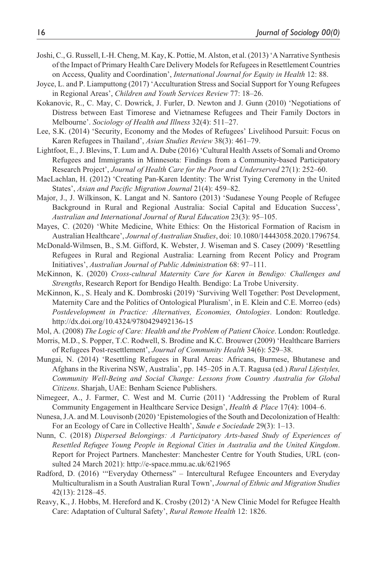- Joshi, C., G. Russell, I.-H. Cheng, M. Kay, K. Pottie, M. Alston, et al. (2013) 'A Narrative Synthesis of the Impact of Primary Health Care Delivery Models for Refugees in Resettlement Countries on Access, Quality and Coordination', *International Journal for Equity in Health* 12: 88.
- Joyce, L. and P. Liamputtong (2017) 'Acculturation Stress and Social Support for Young Refugees in Regional Areas', *Children and Youth Services Review* 77: 18–26.
- Kokanovic, R., C. May, C. Dowrick, J. Furler, D. Newton and J. Gunn (2010) 'Negotiations of Distress between East Timorese and Vietnamese Refugees and Their Family Doctors in Melbourne'. *Sociology of Health and Illness* 32(4): 511–27.
- Lee, S.K. (2014) 'Security, Economy and the Modes of Refugees' Livelihood Pursuit: Focus on Karen Refugees in Thailand', *Asian Studies Review* 38(3): 461–79.
- Lightfoot, E., J. Blevins, T. Lum and A. Dube (2016) 'Cultural Health Assets of Somali and Oromo Refugees and Immigrants in Minnesota: Findings from a Community-based Participatory Research Project', *Journal of Health Care for the Poor and Underserved* 27(1): 252–60.
- MacLachlan, H. (2012) 'Creating Pan-Karen Identity: The Wrist Tying Ceremony in the United States', *Asian and Pacific Migration Journal* 21(4): 459–82.
- Major, J., J. Wilkinson, K. Langat and N. Santoro (2013) 'Sudanese Young People of Refugee Background in Rural and Regional Australia: Social Capital and Education Success', *Australian and International Journal of Rural Education* 23(3): 95–105.
- Mayes, C. (2020) 'White Medicine, White Ethics: On the Historical Formation of Racism in Australian Healthcare', *Journal of Australian Studies*, doi: 10.1080/14443058.2020.1796754.
- McDonald-Wilmsen, B., S.M. Gifford, K. Webster, J. Wiseman and S. Casey (2009) 'Resettling Refugees in Rural and Regional Australia: Learning from Recent Policy and Program Initiatives', *Australian Journal of Public Administration* 68: 97–111.
- McKinnon, K. (2020) *Cross-cultural Maternity Care for Karen in Bendigo: Challenges and Strengths*, Research Report for Bendigo Health. Bendigo: La Trobe University.
- McKinnon, K., S. Healy and K. Dombroski (2019) 'Surviving Well Together: Post Development, Maternity Care and the Politics of Ontological Pluralism', in E. Klein and C.E. Morreo (eds) *Postdevelopment in Practice: Alternatives, Economies, Ontologies*. London: Routledge. <http://dx.doi.org/10.4324/9780429492136-15>
- Mol, A. (2008) *The Logic of Care: Health and the Problem of Patient Choice*. London: Routledge.
- Morris, M.D., S. Popper, T.C. Rodwell, S. Brodine and K.C. Brouwer (2009) 'Healthcare Barriers of Refugees Post-resettlement', *Journal of Community Health* 34(6): 529–38.
- Mungai, N. (2014) 'Resettling Refugees in Rural Areas: Africans, Burmese, Bhutanese and Afghans in the Riverina NSW, Australia', pp. 145–205 in A.T. Ragusa (ed.) *Rural Lifestyles, Community Well-Being and Social Change: Lessons from Country Australia for Global Citizens*. Sharjah, UAE: Benham Science Publishers.
- Nimegeer, A., J. Farmer, C. West and M. Currie (2011) 'Addressing the Problem of Rural Community Engagement in Healthcare Service Design', *Health & Place* 17(4): 1004–6.
- Nunesa, J.A. and M. Louvisonb (2020) 'Epistemologies of the South and Decolonization of Health: For an Ecology of Care in Collective Health', *Saude e Sociedade* 29(3): 1–13.
- Nunn, C. (2018) *Dispersed Belongings: A Participatory Arts-based Study of Experiences of Resettled Refugee Young People in Regional Cities in Australia and the United Kingdom*. Report for Project Partners. Manchester: Manchester Centre for Youth Studies, URL (consulted 24 March 2021):<http://e-space.mmu.ac.uk/621965>
- Radford, D. (2016) '"Everyday Otherness" Intercultural Refugee Encounters and Everyday Multiculturalism in a South Australian Rural Town', *Journal of Ethnic and Migration Studies* 42(13): 2128–45.
- Reavy, K., J. Hobbs, M. Hereford and K. Crosby (2012) 'A New Clinic Model for Refugee Health Care: Adaptation of Cultural Safety', *Rural Remote Health* 12: 1826.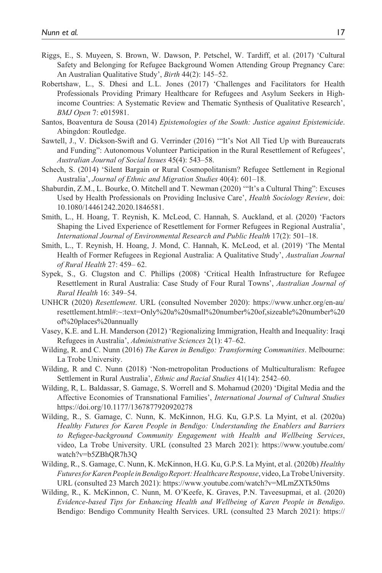- Riggs, E., S. Muyeen, S. Brown, W. Dawson, P. Petschel, W. Tardiff, et al. (2017) 'Cultural Safety and Belonging for Refugee Background Women Attending Group Pregnancy Care: An Australian Qualitative Study', *Birth* 44(2): 145–52.
- Robertshaw, L., S. Dhesi and L.L. Jones (2017) 'Challenges and Facilitators for Health Professionals Providing Primary Healthcare for Refugees and Asylum Seekers in Highincome Countries: A Systematic Review and Thematic Synthesis of Qualitative Research', *BMJ Open* 7: e015981.
- Santos, Boaventura de Sousa (2014) *Epistemologies of the South: Justice against Epistemicide*. Abingdon: Routledge.
- Sawtell, J., V. Dickson-Swift and G. Verrinder (2016) '"It's Not All Tied Up with Bureaucrats and Funding": Autonomous Volunteer Participation in the Rural Resettlement of Refugees', *Australian Journal of Social Issues* 45(4): 543–58.
- Schech, S. (2014) 'Silent Bargain or Rural Cosmopolitanism? Refugee Settlement in Regional Australia', *Journal of Ethnic and Migration Studies* 40(4): 601–18.
- Shaburdin, Z.M., L. Bourke, O. Mitchell and T. Newman (2020) '"It's a Cultural Thing": Excuses Used by Health Professionals on Providing Inclusive Care', *Health Sociology Review*, doi: 10.1080/14461242.2020.1846581.
- Smith, L., H. Hoang, T. Reynish, K. McLeod, C. Hannah, S. Auckland, et al. (2020) 'Factors Shaping the Lived Experience of Resettlement for Former Refugees in Regional Australia', *International Journal of Environmental Research and Public Health* 17(2): 501–18.
- Smith, L., T. Reynish, H. Hoang, J. Mond, C. Hannah, K. McLeod, et al. (2019) 'The Mental Health of Former Refugees in Regional Australia: A Qualitative Study', *Australian Journal of Rural Health* 27: 459– 62.
- Sypek, S., G. Clugston and C. Phillips (2008) 'Critical Health Infrastructure for Refugee Resettlement in Rural Australia: Case Study of Four Rural Towns', *Australian Journal of Rural Health* 16: 349–54.
- UNHCR (2020) *Resettlement*. URL (consulted November 2020): [https://www.unhcr.org/en-au/](https://www.unhcr.org/en-au/resettlement.html#:~:text=Only%20a%20small%20number%20of,sizeable%20number%20of%20places%20annually) [resettlement.html#:~:text=Only%20a%20small%20number%20of,sizeable%20number%20](https://www.unhcr.org/en-au/resettlement.html#:~:text=Only%20a%20small%20number%20of,sizeable%20number%20of%20places%20annually) [of%20places%20annually](https://www.unhcr.org/en-au/resettlement.html#:~:text=Only%20a%20small%20number%20of,sizeable%20number%20of%20places%20annually)
- Vasey, K.E. and L.H. Manderson (2012) 'Regionalizing Immigration, Health and Inequality: Iraqi Refugees in Australia', *Administrative Sciences* 2(1): 47–62.
- Wilding, R. and C. Nunn (2016) *The Karen in Bendigo: Transforming Communities*. Melbourne: La Trobe University.
- Wilding, R and C. Nunn (2018) 'Non-metropolitan Productions of Multiculturalism: Refugee Settlement in Rural Australia', *Ethnic and Racial Studies* 41(14): 2542–60.
- Wilding, R, L. Baldassar, S. Gamage, S. Worrell and S. Mohamud (2020) 'Digital Media and the Affective Economies of Transnational Families', *International Journal of Cultural Studies* <https://doi.org/10.1177/1367877920920278>
- Wilding, R., S. Gamage, C. Nunn, K. McKinnon, H.G. Ku, G.P.S. La Myint, et al. (2020a) *Healthy Futures for Karen People in Bendigo: Understanding the Enablers and Barriers to Refugee-background Community Engagement with Health and Wellbeing Services*, video, La Trobe University. URL (consulted 23 March 2021): [https://www.youtube.com/](https://www.youtube.com/watch?v=b5ZBhQR7h3Q) [watch?v=b5ZBhQR7h3Q](https://www.youtube.com/watch?v=b5ZBhQR7h3Q)
- Wilding, R., S. Gamage, C. Nunn, K. McKinnon, H.G. Ku, G.P.S. La Myint, et al. (2020b) *Healthy Futures for Karen People in Bendigo Report: Healthcare Response*, video, La Trobe University. URL (consulted 23 March 2021): <https://www.youtube.com/watch?v=MLmZXTk50ms>
- Wilding, R., K. McKinnon, C. Nunn, M. O'Keefe, K. Graves, P.N. Taveesupmai, et al. (2020) *Evidence-based Tips for Enhancing Health and Wellbeing of Karen People in Bendigo*. Bendigo: Bendigo Community Health Services. URL (consulted 23 March 2021): [https://](https://opal.latrobe.edu.au/articles/composition/Evidence-based_tips_for_enhancing_health_and_wellbeing_of_Karen_people_in_Bendigo/14220128)